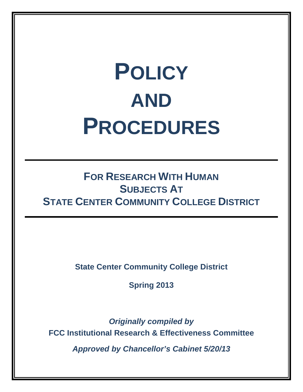# **POLICY AND PROCEDURES**

# **FOR RESEARCH WITH HUMAN SUBJECTS AT STATE CENTER COMMUNITY COLLEGE DISTRICT**

**State Center Community College District**

**Spring 2013**

*Originally compiled by*  **FCC Institutional Research & Effectiveness Committee**

*Approved by Chancellor's Cabinet 5/20/13*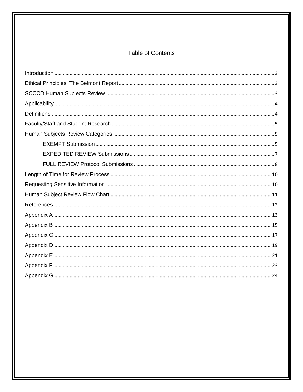# **Table of Contents**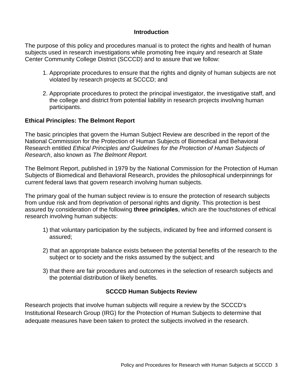#### **Introduction**

<span id="page-2-0"></span>The purpose of this policy and procedures manual is to protect the rights and health of human subjects used in research investigations while promoting free inquiry and research at State Center Community College District (SCCCD) and to assure that we follow:

- 1. Appropriate procedures to ensure that the rights and dignity of human subjects are not violated by research projects at SCCCD; and
- 2. Appropriate procedures to protect the principal investigator, the investigative staff, and the college and district from potential liability in research projects involving human participants.

# <span id="page-2-1"></span>**Ethical Principles: The Belmont Report**

The basic principles that govern the Human Subject Review are described in the report of the National Commission for the Protection of Human Subjects of Biomedical and Behavioral Research entitled *Ethical Principles and Guidelines for the Protection of Human Subjects of Research*, also known as *The Belmont Report.* 

The Belmont Report, published in 1979 by the National Commission for the Protection of Human Subjects of Biomedical and Behavioral Research, provides the philosophical underpinnings for current federal laws that govern research involving human subjects.

The primary goal of the human subject review is to ensure the protection of research subjects from undue risk and from deprivation of personal rights and dignity. This protection is best assured by consideration of the following **three principles**, which are the touchstones of ethical research involving human subjects:

- 1) that voluntary participation by the subjects, indicated by free and informed consent is assured;
- 2) that an appropriate balance exists between the potential benefits of the research to the subject or to society and the risks assumed by the subject; and
- 3) that there are fair procedures and outcomes in the selection of research subjects and the potential distribution of likely benefits.

# **SCCCD Human Subjects Review**

<span id="page-2-2"></span>Research projects that involve human subjects will require a review by the SCCCD's Institutional Research Group (IRG) for the Protection of Human Subjects to determine that adequate measures have been taken to protect the subjects involved in the research.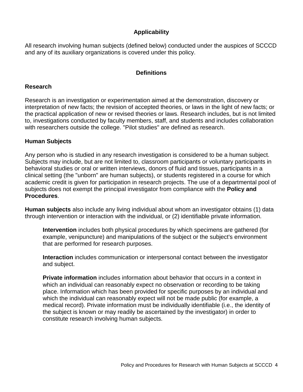# **Applicability**

<span id="page-3-0"></span>All research involving human subjects (defined below) conducted under the auspices of SCCCD and any of its auxiliary organizations is covered under this policy.

# **Definitions**

## <span id="page-3-1"></span>**Research**

Research is an investigation or experimentation aimed at the demonstration, discovery or interpretation of new facts; the revision of accepted theories, or laws in the light of new facts; or the practical application of new or revised theories or laws. Research includes, but is not limited to, investigations conducted by faculty members, staff, and students and includes collaboration with researchers outside the college. "Pilot studies" are defined as research.

#### **Human Subjects**

Any person who is studied in any research investigation is considered to be a human subject. Subjects may include, but are not limited to, classroom participants or voluntary participants in behavioral studies or oral or written interviews, donors of fluid and tissues, participants in a clinical setting (the "unborn" are human subjects), or students registered in a course for which academic credit is given for participation in research projects. The use of a departmental pool of subjects does not exempt the principal investigator from compliance with the **Policy and Procedures**.

**Human subjects** also include any living individual about whom an investigator obtains (1) data through intervention or interaction with the individual, or (2) identifiable private information.

**Intervention** includes both physical procedures by which specimens are gathered (for example, venipuncture) and manipulations of the subject or the subject's environment that are performed for research purposes.

**Interaction** includes communication or interpersonal contact between the investigator and subject.

**Private information** includes information about behavior that occurs in a context in which an individual can reasonably expect no observation or recording to be taking place. Information which has been provided for specific purposes by an individual and which the individual can reasonably expect will not be made public (for example, a medical record). Private information must be individually identifiable (i.e., the identity of the subject is known or may readily be ascertained by the investigator) in order to constitute research involving human subjects.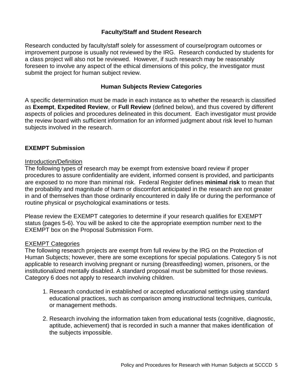# **Faculty/Staff and Student Research**

<span id="page-4-0"></span>Research conducted by faculty/staff solely for assessment of course/program outcomes or improvement purpose is usually not reviewed by the IRG. Research conducted by students for a class project will also not be reviewed. However, if such research may be reasonably foreseen to involve any aspect of the ethical dimensions of this policy, the investigator must submit the project for human subject review.

#### **Human Subjects Review Categories**

<span id="page-4-1"></span>A specific determination must be made in each instance as to whether the research is classified as **Exempt**, **Expedited Review**, or **Full Review** (defined below), and thus covered by different aspects of policies and procedures delineated in this document. Each investigator must provide the review board with sufficient information for an informed judgment about risk level to human subjects involved in the research.

#### <span id="page-4-2"></span>**EXEMPT Submission**

#### Introduction/Definition

The following types of research may be exempt from extensive board review if proper procedures to assure confidentiality are evident, informed consent is provided, and participants are exposed to no more than minimal risk. Federal Register defines **minimal risk** to mean that the probability and magnitude of harm or discomfort anticipated in the research are not greater in and of themselves than those ordinarily encountered in daily life or during the performance of routine physical or psychological examinations or tests.

Please review the EXEMPT categories to determine if your research qualifies for EXEMPT status (pages 5-6). You will be asked to cite the appropriate exemption number next to the EXEMPT box on the Proposal Submission Form.

#### EXEMPT Categories

The following research projects are exempt from full review by the IRG on the Protection of Human Subjects; however, there are some exceptions for special populations. Category 5 is not applicable to research involving pregnant or nursing (breastfeeding) women, prisoners, or the institutionalized mentally disabled. A standard proposal must be submitted for those reviews. Category 6 does not apply to research involving children.

- 1. Research conducted in established or accepted educational settings using standard educational practices, such as comparison among instructional techniques, curricula, or management methods.
- 2. Research involving the information taken from educational tests (cognitive, diagnostic, aptitude, achievement) that is recorded in such a manner that makes identification of the subjects impossible.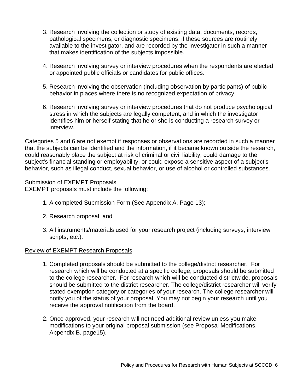- 3. Research involving the collection or study of existing data, documents, records, pathological specimens, or diagnostic specimens, if these sources are routinely available to the investigator, and are recorded by the investigator in such a manner that makes identification of the subjects impossible.
- 4. Research involving survey or interview procedures when the respondents are elected or appointed public officials or candidates for public offices.
- 5. Research involving the observation (including observation by participants) of public behavior in places where there is no recognized expectation of privacy.
- 6. Research involving survey or interview procedures that do not produce psychological stress in which the subjects are legally competent, and in which the investigator identifies him or herself stating that he or she is conducting a research survey or interview.

Categories 5 and 6 are not exempt if responses or observations are recorded in such a manner that the subjects can be identified and the information, if it became known outside the research, could reasonably place the subject at risk of criminal or civil liability, could damage to the subject's financial standing or employability, or could expose a sensitive aspect of a subject's behavior, such as illegal conduct, sexual behavior, or use of alcohol or controlled substances.

# Submission of EXEMPT Proposals

EXEMPT proposals must include the following:

- 1. A completed Submission Form (See Appendix A, Page 13);
- 2. Research proposal; and
- 3. All instruments/materials used for your research project (including surveys, interview scripts, etc.).

# Review of EXEMPT Research Proposals

- 1. Completed proposals should be submitted to the college/district researcher. For research which will be conducted at a specific college, proposals should be submitted to the college researcher. For research which will be conducted districtwide, proposals should be submitted to the district researcher. The college/district researcher will verify stated exemption category or categories of your research. The college researcher will notify you of the status of your proposal. You may not begin your research until you receive the approval notification from the board.
- 2. Once approved, your research will not need additional review unless you make modifications to your original proposal submission (see Proposal Modifications, Appendix B, page15).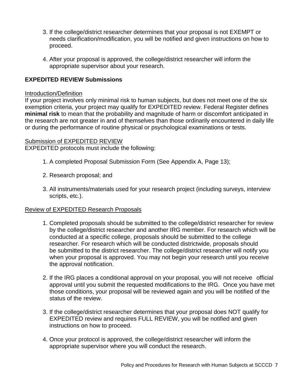- 3. If the college/district researcher determines that your proposal is not EXEMPT or needs clarification/modification, you will be notified and given instructions on how to proceed.
- 4. After your proposal is approved, the college/district researcher will inform the appropriate supervisor about your research.

## <span id="page-6-0"></span>**EXPEDITED REVIEW Submissions**

#### Introduction/Definition

If your project involves only minimal risk to human subjects, but does not meet one of the six exemption criteria, your project may qualify for EXPEDITED review. Federal Register defines **minimal risk** to mean that the probability and magnitude of harm or discomfort anticipated in the research are not greater in and of themselves than those ordinarily encountered in daily life or during the performance of routine physical or psychological examinations or tests.

#### Submission of EXPEDITED REVIEW

EXPEDITED protocols must include the following:

- 1. A completed Proposal Submission Form (See Appendix A, Page 13);
- 2. Research proposal; and
- 3. All instruments/materials used for your research project (including surveys, interview scripts, etc.).

#### Review of EXPEDITED Research Proposals

- 1. Completed proposals should be submitted to the college/district researcher for review by the college/district researcher and another IRG member. For research which will be conducted at a specific college, proposals should be submitted to the college researcher. For research which will be conducted districtwide, proposals should be submitted to the district researcher. The college/district researcher will notify you when your proposal is approved. You may not begin your research until you receive the approval notification.
- 2. If the IRG places a conditional approval on your proposal, you will not receive official approval until you submit the requested modifications to the IRG. Once you have met those conditions, your proposal will be reviewed again and you will be notified of the status of the review.
- 3. If the college/district researcher determines that your proposal does NOT qualify for EXPEDITED review and requires FULL REVIEW, you will be notified and given instructions on how to proceed.
- 4. Once your protocol is approved, the college/district researcher will inform the appropriate supervisor where you will conduct the research.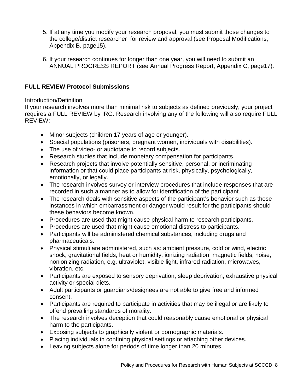- 5. If at any time you modify your research proposal, you must submit those changes to the college/district researcher for review and approval (see Proposal Modifications, Appendix B, page15).
- 6. If your research continues for longer than one year, you will need to submit an ANNUAL PROGRESS REPORT (see Annual Progress Report, Appendix C, page17).

# <span id="page-7-0"></span>**FULL REVIEW Protocol Submissions**

### Introduction/Definition

If your research involves more than minimal risk to subjects as defined previously, your project requires a FULL REVIEW by IRG. Research involving any of the following will also require FULL REVIEW:

- Minor subjects (children 17 years of age or younger).
- Special populations (prisoners, pregnant women, individuals with disabilities).
- The use of video- or audiotape to record subjects.
- Research studies that include monetary compensation for participants.
- Research projects that involve potentially sensitive, personal, or incriminating information or that could place participants at risk, physically, psychologically, emotionally, or legally.
- The research involves survey or interview procedures that include responses that are recorded in such a manner as to allow for identification of the participant.
- The research deals with sensitive aspects of the participant's behavior such as those instances in which embarrassment or danger would result for the participants should these behaviors become known.
- Procedures are used that might cause physical harm to research participants.
- Procedures are used that might cause emotional distress to participants.
- Participants will be administered chemical substances, including drugs and pharmaceuticals.
- Physical stimuli are administered, such as: ambient pressure, cold or wind, electric shock, gravitational fields, heat or humidity, ionizing radiation, magnetic fields, noise, nonionizing radiation, e.g. ultraviolet, visible light, infrared radiation, microwaves, vibration, etc.
- Participants are exposed to sensory deprivation, sleep deprivation, exhaustive physical activity or special diets.
- Adult participants or guardians/designees are not able to give free and informed consent.
- Participants are required to participate in activities that may be illegal or are likely to offend prevailing standards of morality.
- The research involves deception that could reasonably cause emotional or physical harm to the participants.
- Exposing subjects to graphically violent or pornographic materials.
- Placing individuals in confining physical settings or attaching other devices.
- Leaving subjects alone for periods of time longer than 20 minutes.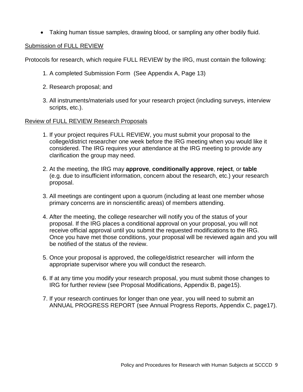• Taking human tissue samples, drawing blood, or sampling any other bodily fluid.

#### Submission of FULL REVIEW

Protocols for research, which require FULL REVIEW by the IRG, must contain the following:

- 1. A completed Submission Form (See Appendix A, Page 13)
- 2. Research proposal; and
- 3. All instruments/materials used for your research project (including surveys, interview scripts, etc.).

#### Review of FULL REVIEW Research Proposals

- 1. If your project requires FULL REVIEW, you must submit your proposal to the college/district researcher one week before the IRG meeting when you would like it considered. The IRG requires your attendance at the IRG meeting to provide any clarification the group may need.
- 2. At the meeting, the IRG may **approve**, **conditionally approve**, **reject**, or **table** (e.g. due to insufficient information, concern about the research, etc.) your research proposal.
- 3. All meetings are contingent upon a quorum (including at least one member whose primary concerns are in nonscientific areas) of members attending.
- 4. After the meeting, the college researcher will notify you of the status of your proposal. If the IRG places a conditional approval on your proposal, you will not receive official approval until you submit the requested modifications to the IRG. Once you have met those conditions, your proposal will be reviewed again and you will be notified of the status of the review.
- 5. Once your proposal is approved, the college/district researcher will inform the appropriate supervisor where you will conduct the research.
- 6. If at any time you modify your research proposal, you must submit those changes to IRG for further review (see Proposal Modifications, Appendix B, page15).
- 7. If your research continues for longer than one year, you will need to submit an ANNUAL PROGRESS REPORT (see Annual Progress Reports, Appendix C, page17).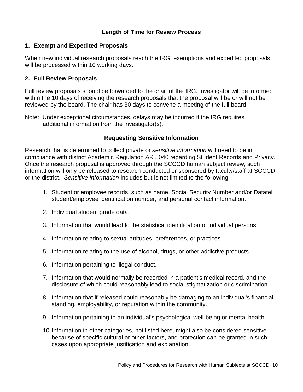# **Length of Time for Review Process**

# <span id="page-9-0"></span>**1. Exempt and Expedited Proposals**

When new individual research proposals reach the IRG, exemptions and expedited proposals will be processed within 10 working days.

# **2. Full Review Proposals**

Full review proposals should be forwarded to the chair of the IRG. Investigator will be informed within the 10 days of receiving the research proposals that the proposal will be or will not be reviewed by the board. The chair has 30 days to convene a meeting of the full board.

Note: Under exceptional circumstances, delays may be incurred if the IRG requires additional information from the investigator(s).

# **Requesting Sensitive Information**

<span id="page-9-1"></span>Research that is determined to collect private or *sensitive information* will need to be in compliance with district Academic Regulation AR 5040 regarding Student Records and Privacy. Once the research proposal is approved through the SCCCD human subject review, such information will only be released to research conducted or sponsored by faculty/staff at SCCCD or the district. *Sensitive information* includes but is not limited to the following:

- 1. Student or employee records, such as name, Social Security Number and/or Datatel student/employee identification number, and personal contact information.
- 2. Individual student grade data.
- 3. Information that would lead to the statistical identification of individual persons.
- 4. Information relating to sexual attitudes, preferences, or practices.
- 5. Information relating to the use of alcohol, drugs, or other addictive products.
- 6. Information pertaining to illegal conduct.
- 7. Information that would normally be recorded in a patient's medical record, and the disclosure of which could reasonably lead to social stigmatization or discrimination.
- 8. Information that if released could reasonably be damaging to an individual's financial standing, employability, or reputation within the community.
- 9. Information pertaining to an individual's psychological well-being or mental health.
- 10.Information in other categories, not listed here, might also be considered sensitive because of specific cultural or other factors, and protection can be granted in such cases upon appropriate justification and explanation.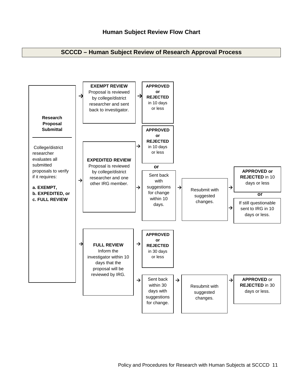# **SCCCD – Human Subject Review of Research Approval Process**

<span id="page-10-0"></span>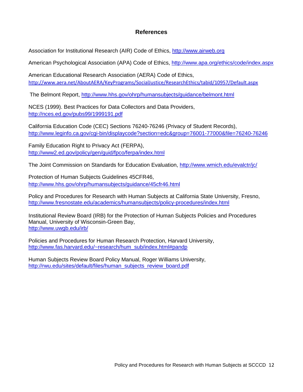#### **References**

<span id="page-11-0"></span>Association for Institutional Research (AIR) Code of Ethics, [http://www.airweb.org](http://www.airweb.org/)

American Psychological Association (APA) Code of Ethics,<http://www.apa.org/ethics/code/index.aspx>

American Educational Research Association (AERA) Code of Ethics, <http://www.aera.net/AboutAERA/KeyPrograms/SocialJustice/ResearchEthics/tabid/10957/Default.aspx>

The Belmont Report,<http://www.hhs.gov/ohrp/humansubjects/guidance/belmont.html>

NCES (1999). Best Practices for Data Collectors and Data Providers, <http://nces.ed.gov/pubs99/1999191.pdf>

California Education Code (CEC) Sections 76240-76246 (Privacy of Student Records), <http://www.leginfo.ca.gov/cgi-bin/displaycode?section=edc&group=76001-77000&file=76240-76246>

Family Education Right to Privacy Act (FERPA), <http://www2.ed.gov/policy/gen/guid/fpco/ferpa/index.html>

The Joint Commission on Standards for Education Evaluation,<http://www.wmich.edu/evalctr/jc/>

Protection of Human Subjects Guidelines 45CFR46, <http://www.hhs.gov/ohrp/humansubjects/guidance/45cfr46.html>

Policy and Procedures for Research with Human Subjects at California State University, Fresno, <http://www.fresnostate.edu/academics/humansubjects/policy-procedures/index.html>

Institutional Review Board (IRB) for the Protection of Human Subjects Policies and Procedures Manual, University of Wisconsin-Green Bay, <http://www.uwgb.edu/irb/>

Policies and Procedures for Human Research Protection, Harvard University, [http://www.fas.harvard.edu/~research/hum\\_sub/index.html#pandp](http://www.fas.harvard.edu/~research/hum_sub/index.html#pandp)

Human Subjects Review Board Policy Manual, Roger Williams University, [http://rwu.edu/sites/default/files/human\\_subjects\\_review\\_board.pdf](http://rwu.edu/sites/default/files/human_subjects_review_board.pdf)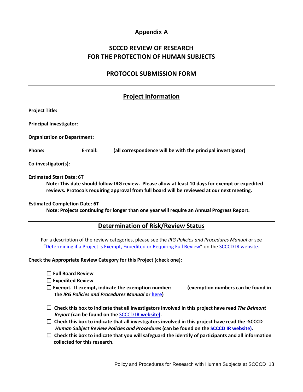## **Appendix A**

# <span id="page-12-0"></span>**SCCCD REVIEW OF RESEARCH FOR THE PROTECTION OF HUMAN SUBJECTS**

#### **PROTOCOL SUBMISSION FORM**

# **Project Information**

| <b>Project Title:</b>                                                                                                              |         |                                                                                                                                                                                                |  |  |
|------------------------------------------------------------------------------------------------------------------------------------|---------|------------------------------------------------------------------------------------------------------------------------------------------------------------------------------------------------|--|--|
| <b>Principal Investigator:</b>                                                                                                     |         |                                                                                                                                                                                                |  |  |
| <b>Organization or Department:</b>                                                                                                 |         |                                                                                                                                                                                                |  |  |
| Phone:                                                                                                                             | E-mail: | (all correspondence will be with the principal investigator)                                                                                                                                   |  |  |
| Co-investigator(s):                                                                                                                |         |                                                                                                                                                                                                |  |  |
| <b>Estimated Start Date: 6T</b>                                                                                                    |         | Note: This date should follow IRG review. Please allow at least 10 days for exempt or expedited<br>reviews. Protocols requiring approval from full board will be reviewed at our next meeting. |  |  |
| <b>Estimated Completion Date: 6T</b><br>Note: Projects continuing for longer than one year will require an Annual Progress Report. |         |                                                                                                                                                                                                |  |  |
|                                                                                                                                    |         | <b>Determination of Risk/Review Status</b>                                                                                                                                                     |  |  |
|                                                                                                                                    |         | For a description of the review categories, please see the IRG Policies and Procedures Manual or see                                                                                           |  |  |

#### **Check the Appropriate Review Category for this Project (check one):**

☐ **Full Board Review**

#### ☐ **Expedited Review**

☐ **Exempt. If exempt, indicate the exemption number: (exemption numbers can be found in the** *IRG Policies and Procedures Manual* **o[r here\)](http://www.fresnocitycollege.edu/index.aspx?page=2833)**

["Determining if a Project is Exempt, Expedited or Requiring Full Review"](http://www.fresnocitycollege.edu/index.aspx?page=2833) on the [SCCCD IR website.](http://ir.scccd.edu/)

- ☐ **Check this box to indicate that all investigators involved in this project have read** *The Belmont Report* **(can be found on the** SCCCD **[IR website\).](http://ir.scccd.edu/)**
- ☐ **Check this box to indicate that all investigators involved in this project have read the -SCCCD** *Human Subject Review Policies and Procedures* **(can be found on the SCCCD [IR website\).](http://ir.scccd.edu/)**
- ☐ **Check this box to indicate that you will safeguard the identify of participants and all information**  **collected for this research.**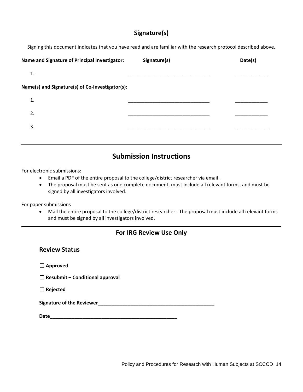# **Signature(s)**

Signing this document indicates that you have read and are familiar with the research protocol described above.

| Name and Signature of Principal Investigator:   | Signature(s) | Date(s) |  |
|-------------------------------------------------|--------------|---------|--|
| 1.                                              |              |         |  |
| Name(s) and Signature(s) of Co-Investigator(s): |              |         |  |
| 1.                                              |              |         |  |
| 2.                                              |              |         |  |
| 3.                                              |              |         |  |
|                                                 |              |         |  |

# **Submission Instructions**

For electronic submissions:

- Email a PDF of the entire proposal to the college/district researcher via email .
- The proposal must be sent as one complete document, must include all relevant forms, and must be signed by all investigators involved.

For paper submissions

• Mail the entire proposal to the college/district researcher. The proposal must include all relevant forms and must be signed by all investigators involved.

# **For IRG Review Use Only**

| <b>Review Status</b>                   |
|----------------------------------------|
| $\Box$ Approved                        |
| $\Box$ Resubmit – Conditional approval |
| $\Box$ Rejected                        |
| Signature of the Reviewer              |
| Date                                   |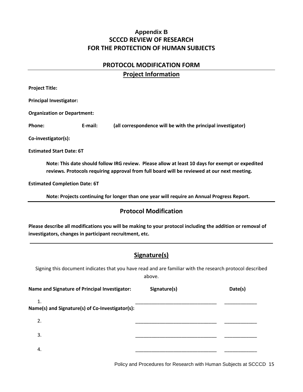# **Appendix B SCCCD REVIEW OF RESEARCH FOR THE PROTECTION OF HUMAN SUBJECTS**

# **PROTOCOL MODIFICATION FORM Project Information**

<span id="page-14-0"></span>

| <b>Project Title:</b>                                   |         |                              |              |                                                                                                                                                                                                |  |
|---------------------------------------------------------|---------|------------------------------|--------------|------------------------------------------------------------------------------------------------------------------------------------------------------------------------------------------------|--|
| <b>Principal Investigator:</b>                          |         |                              |              |                                                                                                                                                                                                |  |
| <b>Organization or Department:</b>                      |         |                              |              |                                                                                                                                                                                                |  |
| Phone:                                                  | E-mail: |                              |              | (all correspondence will be with the principal investigator)                                                                                                                                   |  |
| Co-investigator(s):                                     |         |                              |              |                                                                                                                                                                                                |  |
| <b>Estimated Start Date: 6T</b>                         |         |                              |              |                                                                                                                                                                                                |  |
|                                                         |         |                              |              | Note: This date should follow IRG review. Please allow at least 10 days for exempt or expedited<br>reviews. Protocols requiring approval from full board will be reviewed at our next meeting. |  |
| <b>Estimated Completion Date: 6T</b>                    |         |                              |              |                                                                                                                                                                                                |  |
|                                                         |         |                              |              | Note: Projects continuing for longer than one year will require an Annual Progress Report.                                                                                                     |  |
|                                                         |         | <b>Protocol Modification</b> |              |                                                                                                                                                                                                |  |
| investigators, changes in participant recruitment, etc. |         |                              |              | Please describe all modifications you will be making to your protocol including the addition or removal of                                                                                     |  |
|                                                         |         | <b>Signature(s)</b>          |              |                                                                                                                                                                                                |  |
|                                                         |         | above.                       |              | Signing this document indicates that you have read and are familiar with the research protocol described                                                                                       |  |
| <b>Name and Signature of Principal Investigator:</b>    |         |                              | Signature(s) | Date(s)                                                                                                                                                                                        |  |
| 1.<br>Name(s) and Signature(s) of Co-Investigator(s):   |         |                              |              |                                                                                                                                                                                                |  |
| 2.                                                      |         |                              |              |                                                                                                                                                                                                |  |
| 3.                                                      |         |                              |              |                                                                                                                                                                                                |  |
| 4.                                                      |         |                              |              |                                                                                                                                                                                                |  |
|                                                         |         |                              |              |                                                                                                                                                                                                |  |

Policy and Procedures for Research with Human Subjects at SCCCD 15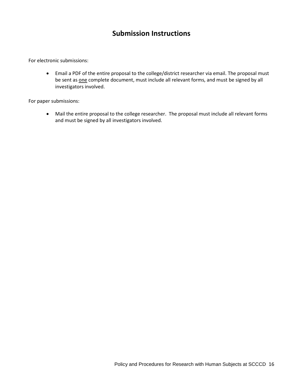# **Submission Instructions**

For electronic submissions:

• Email a PDF of the entire proposal to the college/district researcher via email. The proposal must be sent as one complete document, must include all relevant forms, and must be signed by all investigators involved.

For paper submissions:

• Mail the entire proposal to the college researcher. The proposal must include all relevant forms and must be signed by all investigators involved.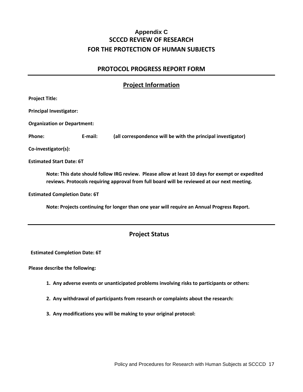# <span id="page-16-0"></span>**Appendix C SCCCD REVIEW OF RESEARCH FOR THE PROTECTION OF HUMAN SUBJECTS**

# **PROTOCOL PROGRESS REPORT FORM**

# **Project Information**

**Project Title:** 

**Principal Investigator:** 

**Organization or Department:** 

**Phone: E-mail: (all correspondence will be with the principal investigator)**

**Co-investigator(s):** 

**Estimated Start Date: 6T**

**Note: This date should follow IRG review. Please allow at least 10 days for exempt or expedited reviews. Protocols requiring approval from full board will be reviewed at our next meeting.** 

**Estimated Completion Date: 6T**

**Note: Projects continuing for longer than one year will require an Annual Progress Report.**

# **Project Status**

**Estimated Completion Date: 6T**

**Please describe the following:**

- **1. Any adverse events or unanticipated problems involving risks to participants or others:**
- **2. Any withdrawal of participants from research or complaints about the research:**
- **3. Any modifications you will be making to your original protocol:**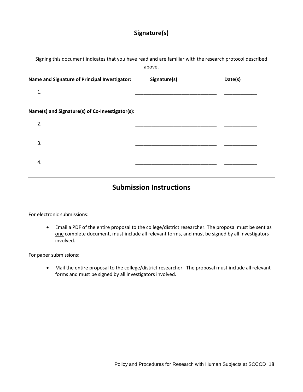# **Signature(s)**

| Signing this document indicates that you have read and are familiar with the research protocol described<br>above. |         |  |  |  |  |  |
|--------------------------------------------------------------------------------------------------------------------|---------|--|--|--|--|--|
| Signature(s)                                                                                                       | Date(s) |  |  |  |  |  |
|                                                                                                                    |         |  |  |  |  |  |
|                                                                                                                    |         |  |  |  |  |  |
|                                                                                                                    |         |  |  |  |  |  |
|                                                                                                                    |         |  |  |  |  |  |
|                                                                                                                    |         |  |  |  |  |  |
|                                                                                                                    |         |  |  |  |  |  |

# **Submission Instructions**

For electronic submissions:

• Email a PDF of the entire proposal to the college/district researcher. The proposal must be sent as one complete document, must include all relevant forms, and must be signed by all investigators involved.

For paper submissions:

• Mail the entire proposal to the college/district researcher. The proposal must include all relevant forms and must be signed by all investigators involved.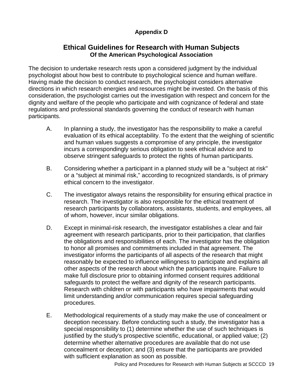# **Appendix D**

# **Ethical Guidelines for Research with Human Subjects Of the American Psychological Association**

<span id="page-18-0"></span>The decision to undertake research rests upon a considered judgment by the individual psychologist about how best to contribute to psychological science and human welfare. Having made the decision to conduct research, the psychologist considers alternative directions in which research energies and resources might be invested. On the basis of this consideration, the psychologist carries out the investigation with respect and concern for the dignity and welfare of the people who participate and with cognizance of federal and state regulations and professional standards governing the conduct of research with human participants.

- A. In planning a study, the investigator has the responsibility to make a careful evaluation of its ethical acceptability. To the extent that the weighing of scientific and human values suggests a compromise of any principle, the investigator incurs a correspondingly serious obligation to seek ethical advice and to observe stringent safeguards to protect the rights of human participants.
- B. Considering whether a participant in a planned study will be a "subject at risk" or a "subject at minimal risk," according to recognized standards, is of primary ethical concern to the investigator.
- C. The investigator always retains the responsibility for ensuring ethical practice in research. The investigator is also responsible for the ethical treatment of research participants by collaborators, assistants, students, and employees, all of whom, however, incur similar obligations.
- D. Except in minimal-risk research, the investigator establishes a clear and fair agreement with research participants, prior to their participation, that clarifies the obligations and responsibilities of each. The investigator has the obligation to honor all promises and commitments included in that agreement. The investigator informs the participants of all aspects of the research that might reasonably be expected to influence willingness to participate and explains all other aspects of the research about which the participants inquire. Failure to make full disclosure prior to obtaining informed consent requires additional safeguards to protect the welfare and dignity of the research participants. Research with children or with participants who have impairments that would limit understanding and/or communication requires special safeguarding procedures.
- E. Methodological requirements of a study may make the use of concealment or deception necessary. Before conducting such a study, the investigator has a special responsibility to (1) determine whether the use of such techniques is justified by the study's prospective scientific, educational, or applied value; (2) determine whether alternative procedures are available that do not use concealment or deception; and (3) ensure that the participants are provided with sufficient explanation as soon as possible.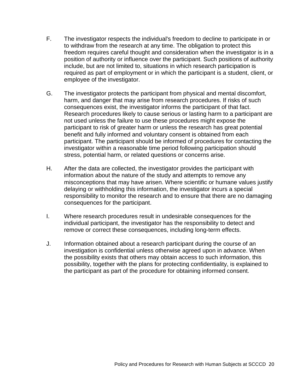- F. The investigator respects the individual's freedom to decline to participate in or to withdraw from the research at any time. The obligation to protect this freedom requires careful thought and consideration when the investigator is in a position of authority or influence over the participant. Such positions of authority include, but are not limited to, situations in which research participation is required as part of employment or in which the participant is a student, client, or employee of the investigator.
- G. The investigator protects the participant from physical and mental discomfort, harm, and danger that may arise from research procedures. If risks of such consequences exist, the investigator informs the participant of that fact. Research procedures likely to cause serious or lasting harm to a participant are not used unless the failure to use these procedures might expose the participant to risk of greater harm or unless the research has great potential benefit and fully informed and voluntary consent is obtained from each participant. The participant should be informed of procedures for contacting the investigator within a reasonable time period following participation should stress, potential harm, or related questions or concerns arise.
- H. After the data are collected, the investigator provides the participant with information about the nature of the study and attempts to remove any misconceptions that may have arisen. Where scientific or humane values justify delaying or withholding this information, the investigator incurs a special responsibility to monitor the research and to ensure that there are no damaging consequences for the participant.
- I. Where research procedures result in undesirable consequences for the individual participant, the investigator has the responsibility to detect and remove or correct these consequences, including long-term effects.
- J. Information obtained about a research participant during the course of an investigation is confidential unless otherwise agreed upon in advance. When the possibility exists that others may obtain access to such information, this possibility, together with the plans for protecting confidentiality, is explained to the participant as part of the procedure for obtaining informed consent.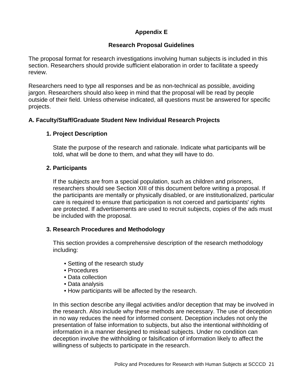# **Appendix E**

## **Research Proposal Guidelines**

<span id="page-20-0"></span>The proposal format for research investigations involving human subjects is included in this section. Researchers should provide sufficient elaboration in order to facilitate a speedy review.

Researchers need to type all responses and be as non-technical as possible, avoiding jargon. Researchers should also keep in mind that the proposal will be read by people outside of their field. Unless otherwise indicated, all questions must be answered for specific projects.

#### **A. Faculty/Staff/Graduate Student New Individual Research Projects**

#### **1. Project Description**

State the purpose of the research and rationale. Indicate what participants will be told, what will be done to them, and what they will have to do.

#### **2. Participants**

If the subjects are from a special population, such as children and prisoners, researchers should see Section XIII of this document before writing a proposal. If the participants are mentally or physically disabled, or are institutionalized, particular care is required to ensure that participation is not coerced and participants' rights are protected. If advertisements are used to recruit subjects, copies of the ads must be included with the proposal.

#### **3. Research Procedures and Methodology**

This section provides a comprehensive description of the research methodology including:

- Setting of the research study
- Procedures
- Data collection
- Data analysis
- How participants will be affected by the research.

In this section describe any illegal activities and/or deception that may be involved in the research. Also include why these methods are necessary. The use of deception in no way reduces the need for informed consent. Deception includes not only the presentation of false information to subjects, but also the intentional withholding of information in a manner designed to mislead subjects. Under no condition can deception involve the withholding or falsification of information likely to affect the willingness of subjects to participate in the research.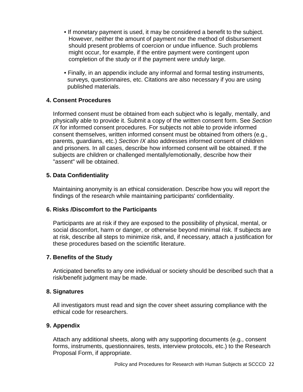- If monetary payment is used, it may be considered a benefit to the subject. However, neither the amount of payment nor the method of disbursement should present problems of coercion or undue influence. Such problems might occur, for example, if the entire payment were contingent upon completion of the study or if the payment were unduly large.
- Finally, in an appendix include any informal and formal testing instruments, surveys, questionnaires, etc. Citations are also necessary if you are using published materials.

#### **4. Consent Procedures**

Informed consent must be obtained from each subject who is legally, mentally, and physically able to provide it. Submit a copy of the written consent form. See *Section IX* for informed consent procedures. For subjects not able to provide informed consent themselves, written informed consent must be obtained from others (e.g., parents, guardians, etc.) *Section IX* also addresses informed consent of children and prisoners. In all cases, describe how informed consent will be obtained. If the subjects are children or challenged mentally/emotionally, describe how their "assent" will be obtained.

#### **5. Data Confidentiality**

Maintaining anonymity is an ethical consideration. Describe how you will report the findings of the research while maintaining participants' confidentiality.

#### **6. Risks /Discomfort to the Participants**

Participants are at risk if they are exposed to the possibility of physical, mental, or social discomfort, harm or danger, or otherwise beyond minimal risk. If subjects are at risk, describe all steps to minimize risk, and, if necessary, attach a justification for these procedures based on the scientific literature.

#### **7. Benefits of the Study**

Anticipated benefits to any one individual or society should be described such that a risk/benefit judgment may be made.

#### **8. Signatures**

All investigators must read and sign the cover sheet assuring compliance with the ethical code for researchers.

#### **9. Appendix**

Attach any additional sheets, along with any supporting documents (e.g., consent forms, instruments, questionnaires, tests, interview protocols, etc.) to the Research Proposal Form, if appropriate.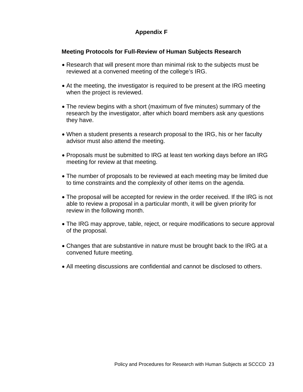# **Appendix F**

#### <span id="page-22-0"></span>**Meeting Protocols for Full-Review of Human Subjects Research**

- Research that will present more than minimal risk to the subjects must be reviewed at a convened meeting of the college's IRG.
- At the meeting, the investigator is required to be present at the IRG meeting when the project is reviewed.
- The review begins with a short (maximum of five minutes) summary of the research by the investigator, after which board members ask any questions they have.
- When a student presents a research proposal to the IRG, his or her faculty advisor must also attend the meeting.
- Proposals must be submitted to [IRG](http://www.irbnet.org/) at least ten working days before an IRG meeting for review at that meeting.
- The number of proposals to be reviewed at each meeting may be limited due to time constraints and the complexity of other items on the agenda.
- The proposal will be accepted for review in the order received. If the IRG is not able to review a proposal in a particular month, it will be given priority for review in the following month.
- The IRG may approve, table, reject, or require modifications to secure approval of the proposal.
- Changes that are substantive in nature must be brought back to the IRG at a convened future meeting.
- All meeting discussions are confidential and cannot be disclosed to others.